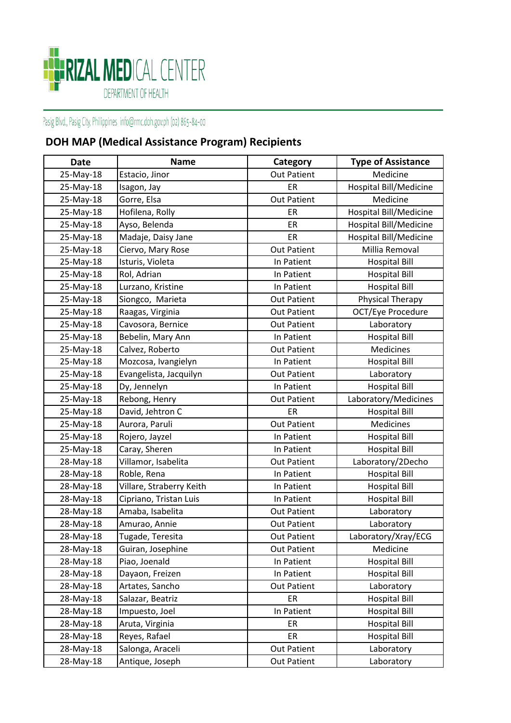

| <b>Date</b> | <b>Name</b>              | Category           | <b>Type of Assistance</b> |
|-------------|--------------------------|--------------------|---------------------------|
| 25-May-18   | Estacio, Jinor           | <b>Out Patient</b> | Medicine                  |
| 25-May-18   | Isagon, Jay              | ER                 | Hospital Bill/Medicine    |
| 25-May-18   | Gorre, Elsa              | <b>Out Patient</b> | Medicine                  |
| 25-May-18   | Hofilena, Rolly          | ER.                | Hospital Bill/Medicine    |
| 25-May-18   | Ayso, Belenda            | ER                 | Hospital Bill/Medicine    |
| 25-May-18   | Madaje, Daisy Jane       | ER                 | Hospital Bill/Medicine    |
| 25-May-18   | Ciervo, Mary Rose        | <b>Out Patient</b> | Millia Removal            |
| 25-May-18   | Isturis, Violeta         | In Patient         | <b>Hospital Bill</b>      |
| 25-May-18   | Rol, Adrian              | In Patient         | <b>Hospital Bill</b>      |
| 25-May-18   | Lurzano, Kristine        | In Patient         | <b>Hospital Bill</b>      |
| 25-May-18   | Siongco, Marieta         | <b>Out Patient</b> | Physical Therapy          |
| 25-May-18   | Raagas, Virginia         | <b>Out Patient</b> | OCT/Eye Procedure         |
| 25-May-18   | Cavosora, Bernice        | <b>Out Patient</b> | Laboratory                |
| 25-May-18   | Bebelin, Mary Ann        | In Patient         | <b>Hospital Bill</b>      |
| 25-May-18   | Calvez, Roberto          | <b>Out Patient</b> | <b>Medicines</b>          |
| 25-May-18   | Mozcosa, Ivangielyn      | In Patient         | <b>Hospital Bill</b>      |
| 25-May-18   | Evangelista, Jacquilyn   | <b>Out Patient</b> | Laboratory                |
| 25-May-18   | Dy, Jennelyn             | In Patient         | <b>Hospital Bill</b>      |
| 25-May-18   | Rebong, Henry            | <b>Out Patient</b> | Laboratory/Medicines      |
| 25-May-18   | David, Jehtron C         | ER                 | <b>Hospital Bill</b>      |
| 25-May-18   | Aurora, Paruli           | <b>Out Patient</b> | Medicines                 |
| 25-May-18   | Rojero, Jayzel           | In Patient         | <b>Hospital Bill</b>      |
| 25-May-18   | Caray, Sheren            | In Patient         | <b>Hospital Bill</b>      |
| 28-May-18   | Villamor, Isabelita      | <b>Out Patient</b> | Laboratory/2Decho         |
| 28-May-18   | Roble, Rena              | In Patient         | <b>Hospital Bill</b>      |
| 28-May-18   | Villare, Straberry Keith | In Patient         | <b>Hospital Bill</b>      |
| 28-May-18   | Cipriano, Tristan Luis   | In Patient         | <b>Hospital Bill</b>      |
| 28-May-18   | Amaba, Isabelita         | <b>Out Patient</b> | Laboratory                |
| 28-May-18   | Amurao, Annie            | <b>Out Patient</b> | Laboratory                |
| 28-May-18   | Tugade, Teresita         | <b>Out Patient</b> | Laboratory/Xray/ECG       |
| 28-May-18   | Guiran, Josephine        | <b>Out Patient</b> | Medicine                  |
| 28-May-18   | Piao, Joenald            | In Patient         | <b>Hospital Bill</b>      |
| 28-May-18   | Dayaon, Freizen          | In Patient         | <b>Hospital Bill</b>      |
| 28-May-18   | Artates, Sancho          | <b>Out Patient</b> | Laboratory                |
| 28-May-18   | Salazar, Beatriz         | ER                 | <b>Hospital Bill</b>      |
| 28-May-18   | Impuesto, Joel           | In Patient         | <b>Hospital Bill</b>      |
| 28-May-18   | Aruta, Virginia          | ER                 | <b>Hospital Bill</b>      |
| 28-May-18   | Reyes, Rafael            | ER                 | <b>Hospital Bill</b>      |
| 28-May-18   | Salonga, Araceli         | <b>Out Patient</b> | Laboratory                |
| 28-May-18   | Antique, Joseph          | <b>Out Patient</b> | Laboratory                |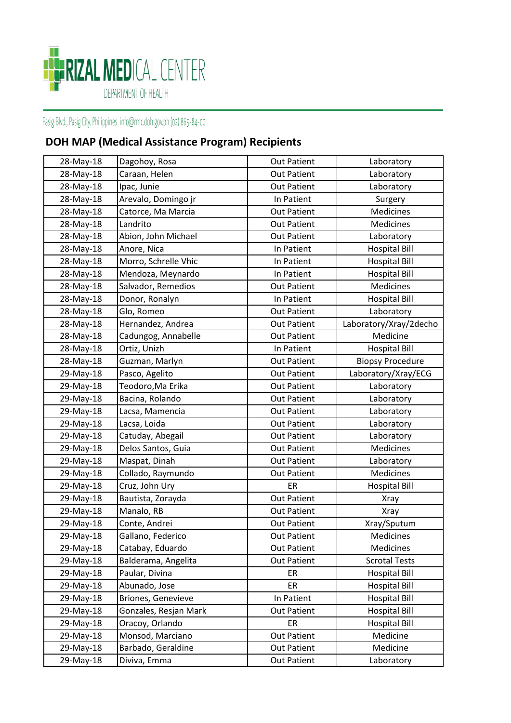

| 28-May-18 | Dagohoy, Rosa         | <b>Out Patient</b> | Laboratory              |
|-----------|-----------------------|--------------------|-------------------------|
| 28-May-18 | Caraan, Helen         | <b>Out Patient</b> | Laboratory              |
| 28-May-18 | Ipac, Junie           | <b>Out Patient</b> | Laboratory              |
| 28-May-18 | Arevalo, Domingo jr   | In Patient         | Surgery                 |
| 28-May-18 | Catorce, Ma Marcia    | <b>Out Patient</b> | Medicines               |
| 28-May-18 | Landrito              | <b>Out Patient</b> | Medicines               |
| 28-May-18 | Abion, John Michael   | <b>Out Patient</b> | Laboratory              |
| 28-May-18 | Anore, Nica           | In Patient         | <b>Hospital Bill</b>    |
| 28-May-18 | Morro, Schrelle Vhic  | In Patient         | <b>Hospital Bill</b>    |
| 28-May-18 | Mendoza, Meynardo     | In Patient         | <b>Hospital Bill</b>    |
| 28-May-18 | Salvador, Remedios    | <b>Out Patient</b> | Medicines               |
| 28-May-18 | Donor, Ronalyn        | In Patient         | <b>Hospital Bill</b>    |
| 28-May-18 | Glo, Romeo            | <b>Out Patient</b> | Laboratory              |
| 28-May-18 | Hernandez, Andrea     | <b>Out Patient</b> | Laboratory/Xray/2decho  |
| 28-May-18 | Cadungog, Annabelle   | <b>Out Patient</b> | Medicine                |
| 28-May-18 | Ortiz, Unizh          | In Patient         | <b>Hospital Bill</b>    |
| 28-May-18 | Guzman, Marlyn        | <b>Out Patient</b> | <b>Biopsy Procedure</b> |
| 29-May-18 | Pasco, Agelito        | <b>Out Patient</b> | Laboratory/Xray/ECG     |
| 29-May-18 | Teodoro, Ma Erika     | <b>Out Patient</b> | Laboratory              |
| 29-May-18 | Bacina, Rolando       | <b>Out Patient</b> | Laboratory              |
| 29-May-18 | Lacsa, Mamencia       | <b>Out Patient</b> | Laboratory              |
| 29-May-18 | Lacsa, Loida          | <b>Out Patient</b> | Laboratory              |
| 29-May-18 | Catuday, Abegail      | <b>Out Patient</b> | Laboratory              |
| 29-May-18 | Delos Santos, Guia    | <b>Out Patient</b> | Medicines               |
| 29-May-18 | Maspat, Dinah         | <b>Out Patient</b> | Laboratory              |
| 29-May-18 | Collado, Raymundo     | <b>Out Patient</b> | Medicines               |
| 29-May-18 | Cruz, John Ury        | ER                 | <b>Hospital Bill</b>    |
| 29-May-18 | Bautista, Zorayda     | <b>Out Patient</b> | <b>Xray</b>             |
| 29-May-18 | Manalo, RB            | <b>Out Patient</b> | <b>Xray</b>             |
| 29-May-18 | Conte, Andrei         | <b>Out Patient</b> | Xray/Sputum             |
| 29-May-18 | Gallano, Federico     | <b>Out Patient</b> | Medicines               |
| 29-May-18 | Catabay, Eduardo      | <b>Out Patient</b> | Medicines               |
| 29-May-18 | Balderama, Angelita   | <b>Out Patient</b> | <b>Scrotal Tests</b>    |
| 29-May-18 | Paular, Divina        | ER                 | <b>Hospital Bill</b>    |
| 29-May-18 | Abunado, Jose         | <b>ER</b>          | <b>Hospital Bill</b>    |
| 29-May-18 | Briones, Genevieve    | In Patient         | <b>Hospital Bill</b>    |
| 29-May-18 | Gonzales, Resjan Mark | <b>Out Patient</b> | <b>Hospital Bill</b>    |
| 29-May-18 | Oracoy, Orlando       | ER                 | <b>Hospital Bill</b>    |
| 29-May-18 | Monsod, Marciano      | <b>Out Patient</b> | Medicine                |
| 29-May-18 | Barbado, Geraldine    | <b>Out Patient</b> | Medicine                |
| 29-May-18 | Diviva, Emma          | Out Patient        | Laboratory              |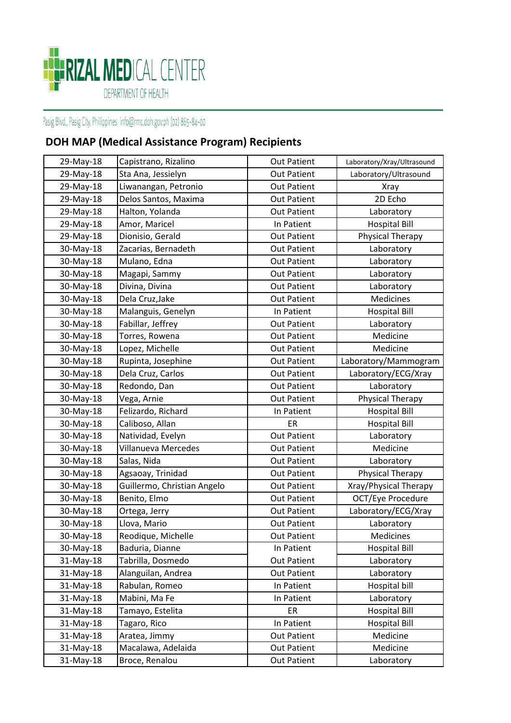

| 29-May-18 | Capistrano, Rizalino        | <b>Out Patient</b> | Laboratory/Xray/Ultrasound |
|-----------|-----------------------------|--------------------|----------------------------|
| 29-May-18 | Sta Ana, Jessielyn          | <b>Out Patient</b> | Laboratory/Ultrasound      |
| 29-May-18 | Liwanangan, Petronio        | <b>Out Patient</b> | <b>Xray</b>                |
| 29-May-18 | Delos Santos, Maxima        | <b>Out Patient</b> | 2D Echo                    |
| 29-May-18 | Halton, Yolanda             | <b>Out Patient</b> | Laboratory                 |
| 29-May-18 | Amor, Maricel               | In Patient         | <b>Hospital Bill</b>       |
| 29-May-18 | Dionisio, Gerald            | <b>Out Patient</b> | Physical Therapy           |
| 30-May-18 | Zacarias, Bernadeth         | <b>Out Patient</b> | Laboratory                 |
| 30-May-18 | Mulano, Edna                | <b>Out Patient</b> | Laboratory                 |
| 30-May-18 | Magapi, Sammy               | <b>Out Patient</b> | Laboratory                 |
| 30-May-18 | Divina, Divina              | <b>Out Patient</b> | Laboratory                 |
| 30-May-18 | Dela Cruz, Jake             | <b>Out Patient</b> | Medicines                  |
| 30-May-18 | Malanguis, Genelyn          | In Patient         | <b>Hospital Bill</b>       |
| 30-May-18 | Fabillar, Jeffrey           | <b>Out Patient</b> | Laboratory                 |
| 30-May-18 | Torres, Rowena              | <b>Out Patient</b> | Medicine                   |
| 30-May-18 | Lopez, Michelle             | <b>Out Patient</b> | Medicine                   |
| 30-May-18 | Rupinta, Josephine          | <b>Out Patient</b> | Laboratory/Mammogram       |
| 30-May-18 | Dela Cruz, Carlos           | <b>Out Patient</b> | Laboratory/ECG/Xray        |
| 30-May-18 | Redondo, Dan                | <b>Out Patient</b> | Laboratory                 |
| 30-May-18 | Vega, Arnie                 | <b>Out Patient</b> | Physical Therapy           |
| 30-May-18 | Felizardo, Richard          | In Patient         | <b>Hospital Bill</b>       |
| 30-May-18 | Caliboso, Allan             | ER                 | <b>Hospital Bill</b>       |
| 30-May-18 | Natividad, Evelyn           | <b>Out Patient</b> | Laboratory                 |
| 30-May-18 | Villanueva Mercedes         | <b>Out Patient</b> | Medicine                   |
| 30-May-18 | Salas, Nida                 | <b>Out Patient</b> | Laboratory                 |
| 30-May-18 | Agsaoay, Trinidad           | <b>Out Patient</b> | Physical Therapy           |
| 30-May-18 | Guillermo, Christian Angelo | <b>Out Patient</b> | Xray/Physical Therapy      |
| 30-May-18 | Benito, Elmo                | <b>Out Patient</b> | OCT/Eye Procedure          |
| 30-May-18 | Ortega, Jerry               | <b>Out Patient</b> | Laboratory/ECG/Xray        |
| 30-May-18 | Llova, Mario                | <b>Out Patient</b> | Laboratory                 |
| 30-May-18 | Reodique, Michelle          | <b>Out Patient</b> | Medicines                  |
| 30-May-18 | Baduria, Dianne             | In Patient         | <b>Hospital Bill</b>       |
| 31-May-18 | Tabrilla, Dosmedo           | <b>Out Patient</b> | Laboratory                 |
| 31-May-18 | Alanguilan, Andrea          | <b>Out Patient</b> | Laboratory                 |
| 31-May-18 | Rabulan, Romeo              | In Patient         | Hospital bill              |
| 31-May-18 | Mabini, Ma Fe               | In Patient         | Laboratory                 |
| 31-May-18 | Tamayo, Estelita            | ER                 | <b>Hospital Bill</b>       |
| 31-May-18 | Tagaro, Rico                | In Patient         | <b>Hospital Bill</b>       |
| 31-May-18 | Aratea, Jimmy               | <b>Out Patient</b> | Medicine                   |
| 31-May-18 | Macalawa, Adelaida          | <b>Out Patient</b> | Medicine                   |
| 31-May-18 | Broce, Renalou              | <b>Out Patient</b> | Laboratory                 |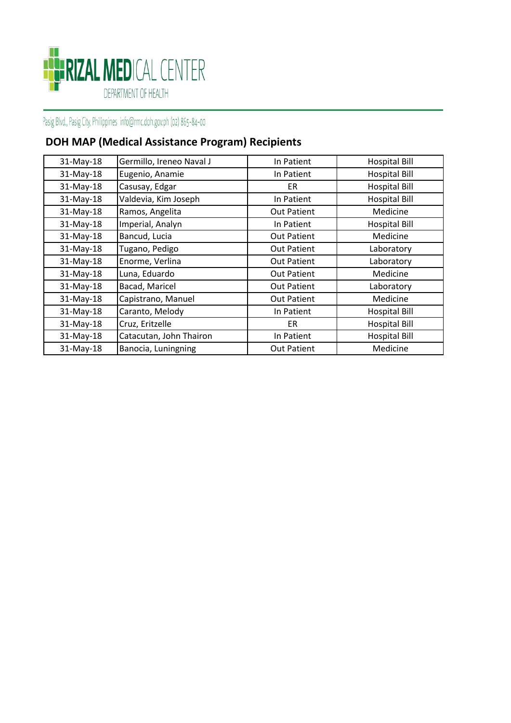

| 31-May-18 | Germillo, Ireneo Naval J | In Patient         | <b>Hospital Bill</b> |
|-----------|--------------------------|--------------------|----------------------|
| 31-May-18 | Eugenio, Anamie          | In Patient         | <b>Hospital Bill</b> |
| 31-May-18 | Casusay, Edgar           | ER.                | <b>Hospital Bill</b> |
| 31-May-18 | Valdevia, Kim Joseph     | In Patient         | <b>Hospital Bill</b> |
| 31-May-18 | Ramos, Angelita          | <b>Out Patient</b> | Medicine             |
| 31-May-18 | Imperial, Analyn         | In Patient         | <b>Hospital Bill</b> |
| 31-May-18 | Bancud, Lucia            | <b>Out Patient</b> | Medicine             |
| 31-May-18 | Tugano, Pedigo           | <b>Out Patient</b> | Laboratory           |
| 31-May-18 | Enorme, Verlina          | <b>Out Patient</b> | Laboratory           |
| 31-May-18 | Luna, Eduardo            | <b>Out Patient</b> | Medicine             |
| 31-May-18 | Bacad, Maricel           | <b>Out Patient</b> | Laboratory           |
| 31-May-18 | Capistrano, Manuel       | <b>Out Patient</b> | Medicine             |
| 31-May-18 | Caranto, Melody          | In Patient         | <b>Hospital Bill</b> |
| 31-May-18 | Cruz, Eritzelle          | <b>ER</b>          | <b>Hospital Bill</b> |
| 31-May-18 | Catacutan, John Thairon  | In Patient         | <b>Hospital Bill</b> |
| 31-May-18 | Banocia, Luningning      | <b>Out Patient</b> | Medicine             |